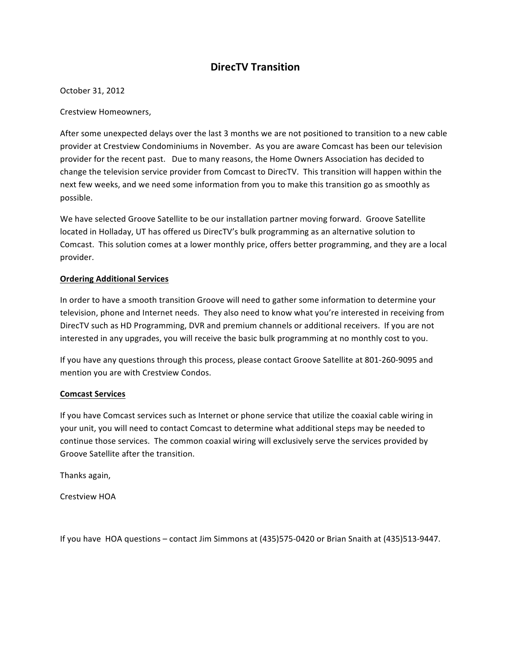## **DirecTV Transition**

#### October 31, 2012

Crestview Homeowners,

After some unexpected delays over the last 3 months we are not positioned to transition to a new cable provider at Crestview Condominiums in November. As you are aware Comcast has been our television provider for the recent past. Due to many reasons, the Home Owners Association has decided to change the television service provider from Comcast to DirecTV. This transition will happen within the next few weeks, and we need some information from you to make this transition go as smoothly as possible.

We have selected Groove Satellite to be our installation partner moving forward. Groove Satellite located in Holladay, UT has offered us DirecTV's bulk programming as an alternative solution to Comcast. This solution comes at a lower monthly price, offers better programming, and they are a local provider.

#### **Ordering Additional Services**

In order to have a smooth transition Groove will need to gather some information to determine your television, phone and Internet needs. They also need to know what you're interested in receiving from DirecTV such as HD Programming, DVR and premium channels or additional receivers. If you are not interested in any upgrades, you will receive the basic bulk programming at no monthly cost to you.

If you have any questions through this process, please contact Groove Satellite at 801-260-9095 and mention you are with Crestview Condos.

### **Comcast Services**

If you have Comcast services such as Internet or phone service that utilize the coaxial cable wiring in your unit, you will need to contact Comcast to determine what additional steps may be needed to continue those services. The common coaxial wiring will exclusively serve the services provided by Groove Satellite after the transition.

Thanks again,

Crestview HOA

If you have HOA questions – contact Jim Simmons at (435)575-0420 or Brian Snaith at (435)513-9447.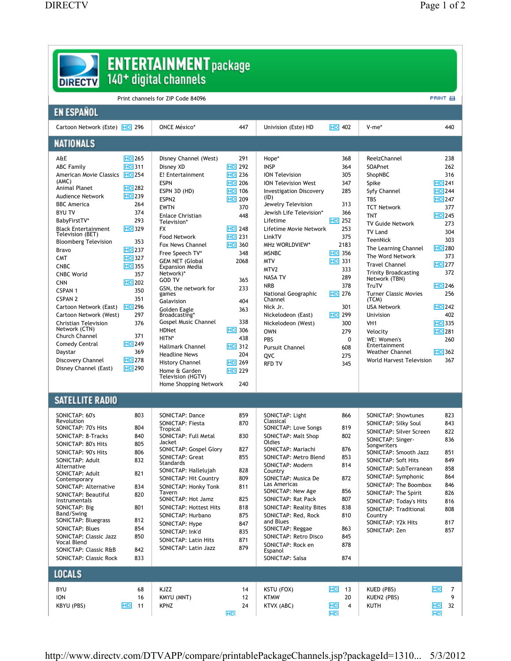| <b>ENTERTAINMENT</b> package<br>140 <sup>+</sup> digital channels<br><b>DIRECTV</b> |                           |                                       |               |                                               |                 |                                               |                      |  |  |  |
|-------------------------------------------------------------------------------------|---------------------------|---------------------------------------|---------------|-----------------------------------------------|-----------------|-----------------------------------------------|----------------------|--|--|--|
| <b>PRINT 吕</b><br>Print channels for ZIP Code 84096                                 |                           |                                       |               |                                               |                 |                                               |                      |  |  |  |
| <b>EN ESPAÑOL</b>                                                                   |                           |                                       |               |                                               |                 |                                               |                      |  |  |  |
| Cartoon Network (Este) HD 296                                                       |                           | <b>ONCE México*</b>                   | 447           | Univision (Este) HD                           | $HD$ 402        | V-me*                                         | 440                  |  |  |  |
| <b>NATIONALS</b>                                                                    |                           |                                       |               |                                               |                 |                                               |                      |  |  |  |
| A&E                                                                                 | $HD$ 265                  | Disney Channel (West)                 | 291           | Hope*                                         | 368             | ReelzChannel                                  | 238                  |  |  |  |
| <b>ABC Family</b>                                                                   | <b>HD</b> 311             | Disney XD                             | $H0$ 292      | <b>INSP</b>                                   | 364             | SOAPnet                                       | 262                  |  |  |  |
| American Movie Classics                                                             | $HD$ 254                  | E! Entertainment                      | $H0$ 236      | <b>ION Television</b>                         | 305             | ShopNBC                                       | 316                  |  |  |  |
| (AMC)                                                                               |                           | <b>ESPN</b>                           | <b>HD</b> 206 | <b>ION Television West</b>                    | 347             | Spike                                         | <b>HD</b> 241        |  |  |  |
| Animal Planet                                                                       | <b>HD</b> 282<br>$HD$ 239 | ESPN 3D (HD)                          | <b>HD</b> 106 | <b>Investigation Discovery</b>                | 285             | Syfy Channel                                  | $HD$ 244             |  |  |  |
| Audience Network<br><b>BBC</b> America                                              | 264                       | ESPN <sub>2</sub>                     | $HD$ 209      | (ID)                                          | 313             | <b>TBS</b>                                    | <b>HD</b> 247        |  |  |  |
| <b>BYU TV</b>                                                                       | 374                       | EWTN                                  | 370           | Jewelry Television<br>Jewish Life Television* | 366             | <b>TCT Network</b>                            | 377                  |  |  |  |
| BabyFirstTV*                                                                        | 293                       | <b>Enlace Christian</b>               | 448           | Lifetime                                      | $HD$ 252        | <b>TNT</b>                                    | $HD$ 245             |  |  |  |
| <b>Black Entertainment</b>                                                          | $HD$ 329                  | Television*<br><b>FX</b>              | $H0$ 248      | Lifetime Movie Network                        | 253             | <b>TV Guide Network</b>                       | 273                  |  |  |  |
| Television (BET)                                                                    |                           | Food Network                          | $HD$ 231      | LinkTV                                        | 375             | <b>TV Land</b>                                | 304                  |  |  |  |
| <b>Bloomberg Television</b>                                                         | 353                       | Fox News Channel                      | <b>HD</b> 360 | MHz WORLDVIEW*                                | 2183            | TeenNick                                      | 303                  |  |  |  |
| Bravo                                                                               | $HD$ 237                  | Free Speech TV*                       | 348           | <b>MSNBC</b>                                  | <b>HD</b> 356   | The Learning Channel                          | $HD$ 280             |  |  |  |
| <b>CMT</b>                                                                          | <b>HD</b> 327             | <b>GEM NET (Global</b>                | 2068          | <b>MTV</b>                                    | <b>HD</b> 331   | The Word Network                              | 373                  |  |  |  |
| <b>CNBC</b>                                                                         | <b>HD</b> 355             | Expansion Media                       |               | MTV <sub>2</sub>                              | 333             | <b>Travel Channel</b>                         | <b>HD</b> 277        |  |  |  |
| <b>CNBC World</b>                                                                   | 357                       | Network)*<br>GOD TV                   | 365           | <b>NASA TV</b>                                | 289             | <b>Trinity Broadcasting</b><br>Network (TBN)  | 372                  |  |  |  |
| <b>CNN</b>                                                                          | <b>HD</b> 202             | GSN, the network for                  | 233           | <b>NRB</b>                                    | 378             | TruTV                                         | $HD$ 246             |  |  |  |
| <b>CSPAN1</b>                                                                       | 350                       | games                                 |               | National Geographic                           | $HD$ 276        | <b>Turner Classic Movies</b>                  | 256                  |  |  |  |
| <b>CSPAN 2</b>                                                                      | 351                       | Galavision                            | 404           | Channel                                       |                 | (TCM)                                         |                      |  |  |  |
| Cartoon Network (East)                                                              | $HD$ 296                  | Golden Eagle                          | 363           | Nick Jr.                                      | 301             | <b>USA Network</b>                            | $HD$ 242             |  |  |  |
| Cartoon Network (West)                                                              | 297<br>376                | Broadcasting*<br>Gospel Music Channel | 338           | Nickelodeon (East)                            | $H0$ 299<br>300 | Univision<br>VH <sub>1</sub>                  | 402<br><b>HD</b> 335 |  |  |  |
| <b>Christian Television</b><br>Network (CTN)                                        |                           | <b>HDNet</b>                          | <b>HD</b> 306 | Nickelodeon (West)<br><b>OWN</b>              | 279             | Velocity                                      | <b>HD</b> 281        |  |  |  |
| Church Channel                                                                      | 371                       | HITN*                                 | 438           | PBS                                           | $\mathbf{0}$    | WE: Women's                                   | 260                  |  |  |  |
| <b>Comedy Central</b>                                                               | $HD$ 249                  | <b>Hallmark Channel</b>               | <b>HD</b> 312 | <b>Pursuit Channel</b>                        | 608             | Entertainment                                 |                      |  |  |  |
| Daystar                                                                             | 369                       | <b>Headline News</b>                  | 204           | QVC                                           | 275             | <b>Weather Channel</b>                        | <b>HD</b> 362        |  |  |  |
| Discovery Channel                                                                   | <b>HD</b> 278             | <b>History Channel</b>                | $H0$ 269      | <b>RFD TV</b>                                 | 345             | World Harvest Television                      | 367                  |  |  |  |
| Disney Channel (East)                                                               | $HD$ 290                  | Home & Garden<br>Television (HGTV)    | $H0$ 229      |                                               |                 |                                               |                      |  |  |  |
|                                                                                     |                           | Home Shopping Network                 | 240           |                                               |                 |                                               |                      |  |  |  |
| <b>SATELLITE RADIO</b>                                                              |                           |                                       |               |                                               |                 |                                               |                      |  |  |  |
| SONICTAP: 60's                                                                      | 803                       | <b>SONICTAP: Dance</b>                | 859           | <b>SONICTAP: Light</b>                        | 866             | SONICTAP: Showtunes                           | 823                  |  |  |  |
| Revolution                                                                          |                           | SONICTAP: Fiesta                      | 870           | Classical                                     |                 | SONICTAP: Silky Soul                          | 843                  |  |  |  |
| SONICTAP: 70's Hits                                                                 | 804                       | Tropical                              |               | SONICTAP: Love Songs                          | 819             | SONICTAP: Silver Screen                       | 822                  |  |  |  |
| SONICTAP: 8-Tracks                                                                  | 840                       | SONICTAP: Full Metal                  | 830           | SONICTAP: Malt Shop<br>Oldies                 | 802             | SONICTAP: Singer-                             | 836                  |  |  |  |
| SONICTAP: 80's Hits                                                                 | 805                       | Jacket<br>SONICTAP: Gospel Glory      | 827           | SONICTAP: Mariachi                            | 876             | Songwriters                                   |                      |  |  |  |
| SONICTAP: 90's Hits                                                                 | 806                       | SONICTAP: Great                       | 855           | SONICTAP: Metro Blend                         | 853             | SONICTAP: Smooth Jazz                         | 851                  |  |  |  |
| SONICTAP: Adult<br>Alternative                                                      | 832                       | Standards                             |               | SONICTAP: Modern                              | 814             | SONICTAP: Soft Hits                           | 849                  |  |  |  |
| SONICTAP: Adult                                                                     | 821                       | SONICTAP: Hallelujah                  | 828           | Country                                       |                 | SONICTAP: SubTerranean<br>SONICTAP: Symphonic | 858<br>864           |  |  |  |
| Contemporary                                                                        |                           | SONICTAP: Hit Country                 | 809           | SONICTAP: Musica De<br>Las Americas           | 872             | SONICTAP: The Boombox                         | 846                  |  |  |  |
| SONICTAP: Alternative                                                               | 834                       | SONICTAP: Honky Tonk<br>Tavern        | 811           | SONICTAP: New Age                             | 856             | SONICTAP: The Spirit                          | 826                  |  |  |  |
| SONICTAP: Beautiful<br>Instrumentals                                                | 820                       | SONICTAP: Hot Jamz                    | 825           | SONICTAP: Rat Pack                            | 807             | SONICTAP: Today's Hits                        | 816                  |  |  |  |
| <b>SONICTAP: Big</b>                                                                | 801                       | SONICTAP: Hottest Hits                | 818           | <b>SONICTAP: Reality Bites</b>                | 838             | <b>SONICTAP: Traditional</b>                  | 808                  |  |  |  |
| Band/Swing                                                                          |                           | SONICTAP: Hurbano                     | 875           | SONICTAP: Red, Rock                           | 810             | Country                                       |                      |  |  |  |
| SONICTAP: Bluegrass                                                                 | 812                       | SONICTAP: Hype                        | 847           | and Blues                                     |                 | SONICTAP: Y2k Hits                            | 817                  |  |  |  |
| <b>SONICTAP: Blues</b>                                                              | 854                       | SONICTAP: Ink'd                       | 835           | SONICTAP: Reggae                              | 863             | SONICTAP: Zen                                 | 857                  |  |  |  |
| SONICTAP: Classic Jazz<br><b>Vocal Blend</b>                                        | 850                       | SONICTAP: Latin Hits                  | 871           | SONICTAP: Retro Disco<br>SONICTAP: Rock en    | 845<br>878      |                                               |                      |  |  |  |
| SONICTAP: Classic R&B                                                               | 842                       | SONICTAP: Latin Jazz                  | 879           | Espanol                                       |                 |                                               |                      |  |  |  |
| <b>SONICTAP: Classic Rock</b>                                                       | 833                       |                                       |               | SONICTAP: Salsa                               | 874             |                                               |                      |  |  |  |
| <b>LOCALS</b>                                                                       |                           |                                       |               |                                               |                 |                                               |                      |  |  |  |
| <b>BYU</b>                                                                          | 68                        | KJZZ                                  | 14            | KSTU (FOX)                                    | <b>HD</b><br>13 | KUED (PBS)                                    | HD<br>7              |  |  |  |
| <b>ION</b>                                                                          | 16                        | KMYU (MNT)                            | 12            | <b>KTMW</b>                                   | 20              | KUEN2 (PBS)                                   | 9                    |  |  |  |
| KBYU (PBS)                                                                          | <b>HD</b><br>11           | <b>KPNZ</b>                           | 24            | KTVX (ABC)                                    | HD<br>4         | KUTH                                          | 32<br><b>HD</b>      |  |  |  |
|                                                                                     |                           |                                       | HD            |                                               | <b>HD</b>       |                                               | HD                   |  |  |  |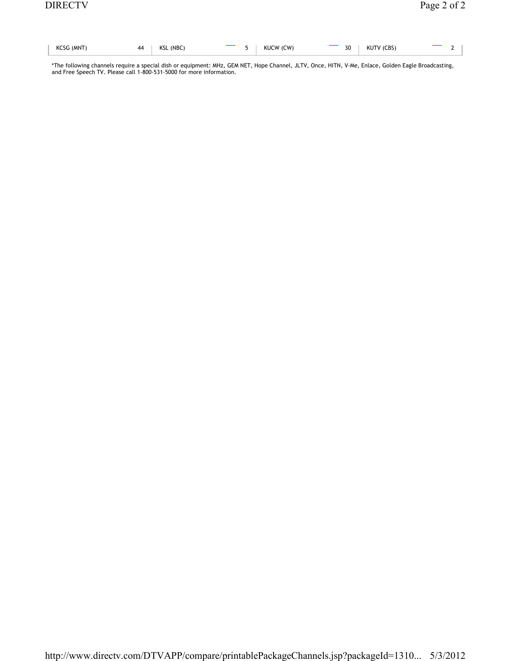| KCSG (MNT) | 44   KSL (NBC) |  | $\overline{\phantom{a}}$ 5   KUCW (CW) | $\overline{\phantom{a}}$ 30   KUTV (CBS) | $\mathcal{D}$ |
|------------|----------------|--|----------------------------------------|------------------------------------------|---------------|

\*The following channels require a special dish or equipment: MHz, GEM NET, Hope Channel, JLTV, Once, HITN, V-Me, Enlace, Golden Eagle Broadcasting, and Free Speech TV. Please call 1-800-531-5000 for more information.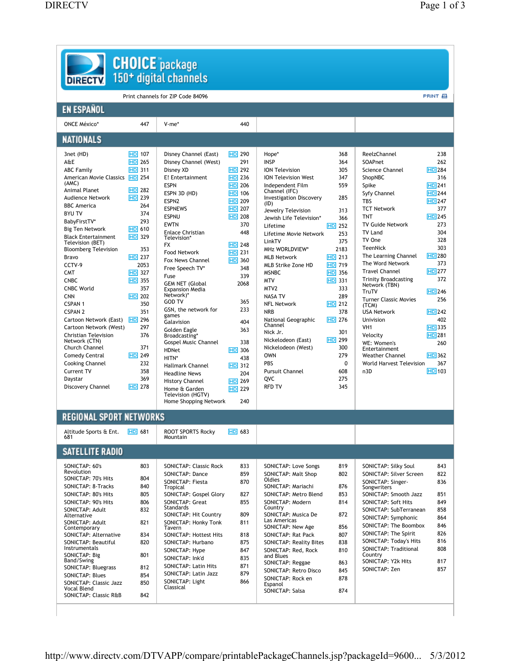| <b>DIRECTV.</b>                                |                  | 150 <sup>+</sup> digital channels            |                      |                                                |               |                                              |                      |
|------------------------------------------------|------------------|----------------------------------------------|----------------------|------------------------------------------------|---------------|----------------------------------------------|----------------------|
|                                                |                  | Print channels for ZIP Code 84096            |                      |                                                |               |                                              | PRINT 目              |
| <b>EN ESPAÑOL</b>                              |                  |                                              |                      |                                                |               |                                              |                      |
| <b>ONCE México*</b>                            | 447              | V-me*                                        | 440                  |                                                |               |                                              |                      |
| <b>NATIONALS</b>                               |                  |                                              |                      |                                                |               |                                              |                      |
| 3net (HD)                                      | <b>HD</b> 107    | Disney Channel (East)                        | $HD$ 290             | Hope*                                          | 368           | ReelzChannel                                 | 238                  |
| A&E                                            | $HD$ 265         | Disney Channel (West)                        | 291                  | <b>INSP</b>                                    | 364           | SOAPnet                                      | 262                  |
| <b>ABC Family</b>                              | <b>HD</b> 311    | Disney XD                                    | $HD$ 292             | <b>ION Television</b>                          | 305           | Science Channel                              | <b>HD</b> 284<br>316 |
| American Movie Classics <b>HD</b> 254<br>(AMC) |                  | E! Entertainment<br><b>ESPN</b>              | $H0$ 236<br>$HD$ 206 | <b>ION Television West</b><br>Independent Film | 347<br>559    | ShopNBC<br>Spike                             | <b>HD</b> 241        |
| Animal Planet                                  | <b>HD</b> 282    | ESPN 3D (HD)                                 | <b>HD</b> 106        | Channel (IFC)                                  |               | Syfy Channel                                 | <b>HD</b> 244        |
| <b>Audience Network</b>                        | $H0$ 239         | ESPN <sub>2</sub>                            | $HD$ 209             | <b>Investigation Discovery</b>                 | 285           | <b>TBS</b>                                   | <b>HD</b> 247        |
| <b>BBC</b> America                             | 264              | <b>ESPNEWS</b>                               | <b>HD</b> 207        | (ID)<br>Jewelry Television                     | 313           | <b>TCT Network</b>                           | 377                  |
| <b>BYU TV</b>                                  | 374              | <b>ESPNU</b>                                 | $HD$ 208             | Jewish Life Television*                        | 366           | <b>TNT</b>                                   | $HD$ 245             |
| BabyFirstTV*                                   | 293              | <b>EWTN</b>                                  | 370                  | Lifetime                                       | $HD$ 252      | <b>TV Guide Network</b>                      | 273                  |
| Big Ten Network                                | <b>HD</b> 610    | <b>Enlace Christian</b>                      | 448                  | Lifetime Movie Network                         | 253           | TV Land                                      | 304                  |
| <b>Black Entertainment</b><br>Television (BET) | $HD$ 329         | Television*                                  |                      | LinkTV                                         | 375           | TV One                                       | 328                  |
| <b>Bloomberg Television</b>                    | 353              | <b>FX</b>                                    | $HD$ 248             | <b>MHz WORLDVIEW*</b>                          | 2183          | <b>TeenNick</b>                              | 303                  |
| Bravo                                          | $HD$ 237         | Food Network                                 | $H0$ 231<br>$HD$ 360 | <b>MLB Network</b>                             | $HD$ 213      | The Learning Channel                         | <b>HD</b> 280        |
| CCTV-9                                         | 2053             | Fox News Channel<br>Free Speech TV*          | 348                  | MLB Strike Zone HD                             | $HD$ 719      | The Word Network                             | 373                  |
| <b>CMT</b>                                     | <b>HD</b> 327    | Fuse                                         | 339                  | <b>MSNBC</b>                                   | $HD$ 356      | <b>Travel Channel</b>                        | <b>HD</b> 277        |
| <b>CNBC</b>                                    | $HD$ 355         | <b>GEM NET (Global</b>                       | 2068                 | <b>MTV</b>                                     | <b>HD</b> 331 | <b>Trinity Broadcasting</b><br>Network (TBN) | 372                  |
| <b>CNBC World</b>                              | 357              | <b>Expansion Media</b>                       |                      | MTV <sub>2</sub>                               | 333           | TruTV                                        | $HD$ 246             |
| <b>CNN</b>                                     | $HD$ 202         | Network)*<br><b>GOD TV</b>                   | 365                  | <b>NASA TV</b>                                 | 289           | <b>Turner Classic Movies</b>                 | 256                  |
| <b>CSPAN1</b>                                  | 350              | GSN, the network for                         | 233                  | <b>NFL Network</b>                             | $HD$ 212      | (TCM)                                        |                      |
| <b>CSPAN 2</b>                                 | 351              | games                                        |                      | <b>NRB</b>                                     | 378           | <b>USA Network</b>                           | $HD$ 242             |
| Cartoon Network (East)                         | 296<br><b>HD</b> | Galavision                                   | 404                  | National Geographic<br>Channel                 | <b>HD</b> 276 | Univision                                    | 402                  |
| Cartoon Network (West)                         | 297              | Golden Eagle                                 | 363                  | Nick Jr.                                       | 301           | VH <sub>1</sub>                              | $HD$ 335             |
| Christian Television<br>Network (CTN)          | 376              | Broadcasting*<br><b>Gospel Music Channel</b> | 338                  | Nickelodeon (East)                             | $H0$ 299      | Velocity<br>WE: Women's                      | <b>HD</b> 281<br>260 |
| Church Channel                                 | 371              | <b>HDNet</b>                                 | $HD$ 306             | Nickelodeon (West)                             | 300           | Entertainment                                |                      |
| Comedy Central                                 | $HD$ 249         | HITN*                                        | 438                  | <b>OWN</b>                                     | 279           | <b>Weather Channel</b>                       | <b>HD</b> 362        |
| <b>Cooking Channel</b>                         | 232              | <b>Hallmark Channel</b>                      | $HD$ 312             | <b>PBS</b>                                     | 0             | World Harvest Television                     | 367                  |
| <b>Current TV</b>                              | 358              | <b>Headline News</b>                         | 204                  | <b>Pursuit Channel</b>                         | 608           | n3D                                          | <b>HD</b> 103        |
| Daystar                                        | 369              | <b>History Channel</b>                       | $H0$ 269             | QVC                                            | 275           |                                              |                      |
| Discovery Channel                              | $HD$ 278         | Home & Garden                                | $HD$ 229             | <b>RFD TV</b>                                  | 345           |                                              |                      |
|                                                |                  | Television (HGTV)<br>Home Shopping Network   | 240                  |                                                |               |                                              |                      |
| <b>REGIONAL SPORT NETWORKS</b>                 |                  |                                              |                      |                                                |               |                                              |                      |
| Altitude Sports & Ent.                         | $HD$ 681         | ROOT SPORTS Rocky                            | $HD$ 683             |                                                |               |                                              |                      |
| 681                                            |                  | Mountain                                     |                      |                                                |               |                                              |                      |
| <b>SATELLITE RADIO</b>                         |                  |                                              |                      |                                                |               |                                              |                      |
| SONICTAP: 60's                                 | 803              | SONICTAP: Classic Rock                       | 833                  | SONICTAP: Love Songs                           | 819           | SONICTAP: Silky Soul                         |                      |
| Revolution<br>SONICTAP: 70's Hits              | 804              | SONICTAP: Dance                              | 859                  | SONICTAP: Malt Shop                            | 802           | SONICTAP: Silver Screen                      |                      |
| SONICTAP: 8-Tracks                             | 840              | SONICTAP: Fiesta                             | 870                  | Oldies<br>SONICTAP: Mariachi                   | 876           | SONICTAP: Singer-                            | 836                  |
| SONICTAP: 80's Hits                            | 805              | Tropical<br>SONICTAP: Gospel Glory           | 827                  | SONICTAP: Metro Blend                          | 853           | Songwriters<br>SONICTAP: Smooth Jazz         | 851                  |
| SONICTAP: 90's Hits                            | 806              | SONICTAP: Great                              | 855                  | SONICTAP: Modern                               | 814           | SONICTAP: Soft Hits                          | 849                  |
| SONICTAP: Adult                                | 832              | Standards                                    |                      | Country                                        |               | SONICTAP: SubTerranean                       | 858                  |
| Alternative                                    |                  | SONICTAP: Hit Country                        | 809                  | SONICTAP: Musica De<br>Las Americas            | 872           | SONICTAP: Symphonic                          | 864                  |
| SONICTAP: Adult<br>Contemporary                | 821              | SONICTAP: Honky Tonk<br>Tavern               | 811                  | SONICTAP: New Age                              | 856           | SONICTAP: The Boombox                        | 846                  |
| SONICTAP: Alternative                          | 834              | SONICTAP: Hottest Hits                       | 818                  | SONICTAP: Rat Pack                             | 807           | SONICTAP: The Spirit                         | 826                  |
| SONICTAP: Beautiful                            | 820              | SONICTAP: Hurbano                            | 875                  | <b>SONICTAP: Reality Bites</b>                 | 838           | SONICTAP: Today's Hits                       | 816                  |
| Instrumentals                                  |                  | SONICTAP: Hype                               | 847                  | SONICTAP: Red, Rock                            | 810           | SONICTAP: Traditional                        | 808                  |
| SONICTAP: Big                                  | 801              | SONICTAP: Ink'd                              | 835                  | and Blues                                      |               | Country                                      |                      |
| Band/Swing<br>SONICTAP: Bluegrass              | 812              | SONICTAP: Latin Hits                         | 871                  | SONICTAP: Reggae                               | 863           | SONICTAP: Y2k Hits                           | 817                  |
| SONICTAP: Blues                                | 854              | SONICTAP: Latin Jazz                         | 879                  | SONICTAP: Retro Disco                          | 845           | SONICTAP: Zen                                | 857                  |
| SONICTAP: Classic Jazz                         | 850              | SONICTAP: Light                              | 866                  | SONICTAP: Rock en<br>Espanol                   | 878           |                                              |                      |
| Vocal Blend                                    |                  | Classical                                    |                      |                                                |               |                                              |                      |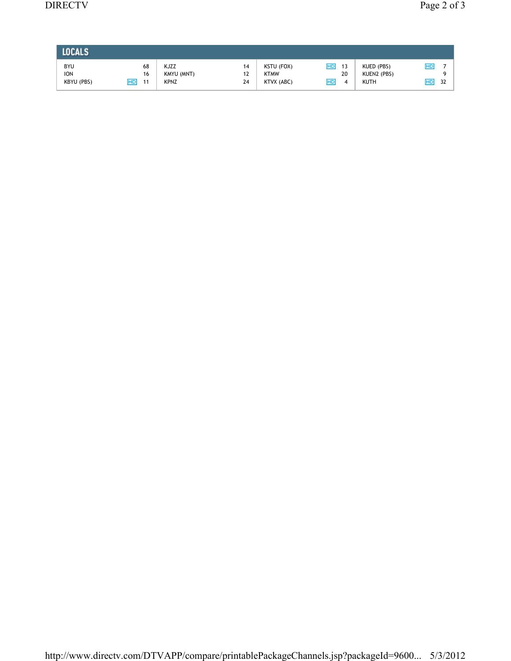| <b>LOCALS</b>                          |                      |                                   |                |                                         |                           |                                          |                |
|----------------------------------------|----------------------|-----------------------------------|----------------|-----------------------------------------|---------------------------|------------------------------------------|----------------|
| <b>BYU</b><br><b>ION</b><br>KBYU (PBS) | 68<br>16<br>HD<br>11 | KJZZ<br>KMYU (MNT)<br><b>KPNZ</b> | 14<br>12<br>24 | KSTU (FOX)<br><b>KTMW</b><br>KTVX (ABC) | HD<br>13<br>20<br>HD<br>4 | KUED (PBS)<br>KUEN2 (PBS)<br><b>KUTH</b> | HD<br>32<br>HD |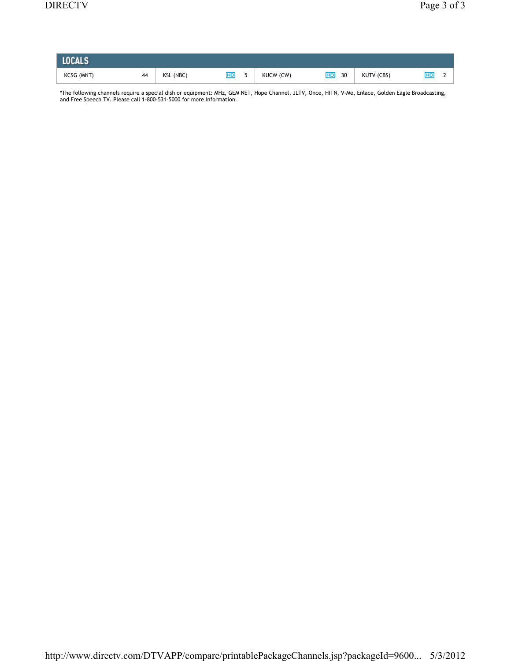| <b>LOCALS</b> |    |           |    |           |                 |            |  |
|---------------|----|-----------|----|-----------|-----------------|------------|--|
| KCSG (MNT)    | 44 | KSL (NBC) | HD | KUCW (CW) | <b>HD</b><br>30 | KUTV (CBS) |  |

\*The following channels require a special dish or equipment: MHz, GEM NET, Hope Channel, JLTV, Once, HITN, V-Me, Enlace, Golden Eagle Broadcasting, and Free Speech TV. Please call 1-800-531-5000 for more information.